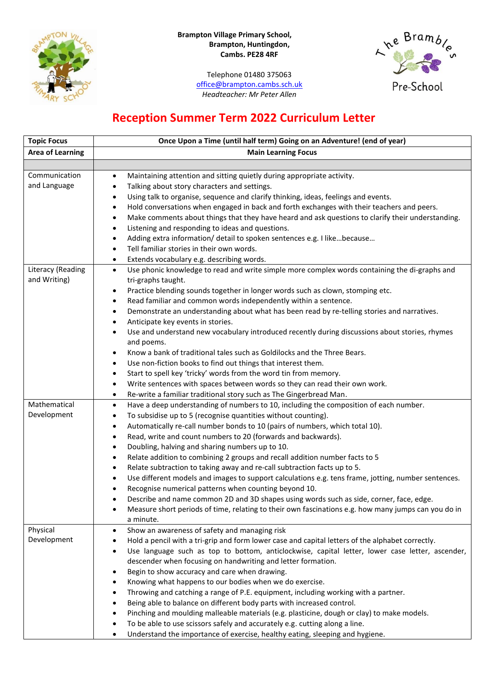

## **Brampton Village Primary School, Brampton, Huntingdon, Cambs. PE28 4RF**

Telephone 01480 375063 [office@brampton.cambs.sch.uk](mailto:office@brampton.cambs.sch.uk) *Headteacher: Mr Peter Allen*



## **Reception Summer Term 2022 Curriculum Letter**

| <b>Topic Focus</b>      | Once Upon a Time (until half term) Going on an Adventure! (end of year)                                       |  |  |
|-------------------------|---------------------------------------------------------------------------------------------------------------|--|--|
| <b>Area of Learning</b> | <b>Main Learning Focus</b>                                                                                    |  |  |
|                         |                                                                                                               |  |  |
| Communication           | Maintaining attention and sitting quietly during appropriate activity.<br>$\bullet$                           |  |  |
| and Language            | Talking about story characters and settings.<br>$\bullet$                                                     |  |  |
|                         | Using talk to organise, sequence and clarify thinking, ideas, feelings and events.<br>$\bullet$               |  |  |
|                         | Hold conversations when engaged in back and forth exchanges with their teachers and peers.<br>$\bullet$       |  |  |
|                         | Make comments about things that they have heard and ask questions to clarify their understanding.<br>٠        |  |  |
|                         | Listening and responding to ideas and questions.<br>٠                                                         |  |  |
|                         | Adding extra information/ detail to spoken sentences e.g. I likebecause<br>٠                                  |  |  |
|                         | Tell familiar stories in their own words.<br>$\bullet$                                                        |  |  |
|                         | Extends vocabulary e.g. describing words.<br>$\bullet$                                                        |  |  |
| Literacy (Reading       | Use phonic knowledge to read and write simple more complex words containing the di-graphs and<br>$\bullet$    |  |  |
| and Writing)            | tri-graphs taught.                                                                                            |  |  |
|                         | Practice blending sounds together in longer words such as clown, stomping etc.<br>٠                           |  |  |
|                         | Read familiar and common words independently within a sentence.<br>$\bullet$                                  |  |  |
|                         | Demonstrate an understanding about what has been read by re-telling stories and narratives.<br>$\bullet$      |  |  |
|                         | Anticipate key events in stories.<br>٠                                                                        |  |  |
|                         | Use and understand new vocabulary introduced recently during discussions about stories, rhymes<br>٠           |  |  |
|                         | and poems.                                                                                                    |  |  |
|                         | Know a bank of traditional tales such as Goldilocks and the Three Bears.<br>٠                                 |  |  |
|                         | Use non-fiction books to find out things that interest them.<br>$\bullet$                                     |  |  |
|                         | Start to spell key 'tricky' words from the word tin from memory.<br>٠                                         |  |  |
|                         | Write sentences with spaces between words so they can read their own work.<br>$\bullet$                       |  |  |
|                         | Re-write a familiar traditional story such as The Gingerbread Man.<br>$\bullet$                               |  |  |
| Mathematical            | Have a deep understanding of numbers to 10, including the composition of each number.<br>$\bullet$            |  |  |
| Development             | To subsidise up to 5 (recognise quantities without counting).<br>٠                                            |  |  |
|                         | Automatically re-call number bonds to 10 (pairs of numbers, which total 10).<br>٠                             |  |  |
|                         | Read, write and count numbers to 20 (forwards and backwards).<br>٠                                            |  |  |
|                         | Doubling, halving and sharing numbers up to 10.<br>$\bullet$                                                  |  |  |
|                         | Relate addition to combining 2 groups and recall addition number facts to 5<br>٠                              |  |  |
|                         | Relate subtraction to taking away and re-call subtraction facts up to 5.<br>٠                                 |  |  |
|                         | Use different models and images to support calculations e.g. tens frame, jotting, number sentences.<br>٠      |  |  |
|                         | Recognise numerical patterns when counting beyond 10.                                                         |  |  |
|                         | Describe and name common 2D and 3D shapes using words such as side, corner, face, edge.                       |  |  |
|                         | Measure short periods of time, relating to their own fascinations e.g. how many jumps can you do in<br>٠      |  |  |
|                         | a minute.                                                                                                     |  |  |
| Physical                | Show an awareness of safety and managing risk<br>٠                                                            |  |  |
| Development             | Hold a pencil with a tri-grip and form lower case and capital letters of the alphabet correctly.<br>$\bullet$ |  |  |
|                         | Use language such as top to bottom, anticlockwise, capital letter, lower case letter, ascender,<br>$\bullet$  |  |  |
|                         | descender when focusing on handwriting and letter formation.                                                  |  |  |
|                         | Begin to show accuracy and care when drawing.<br>٠                                                            |  |  |
|                         | Knowing what happens to our bodies when we do exercise.<br>٠                                                  |  |  |
|                         | Throwing and catching a range of P.E. equipment, including working with a partner.<br>٠                       |  |  |
|                         | Being able to balance on different body parts with increased control.<br>٠                                    |  |  |
|                         | Pinching and moulding malleable materials (e.g. plasticine, dough or clay) to make models.<br>$\bullet$       |  |  |
|                         | To be able to use scissors safely and accurately e.g. cutting along a line.<br>٠                              |  |  |
|                         | Understand the importance of exercise, healthy eating, sleeping and hygiene.<br>$\bullet$                     |  |  |